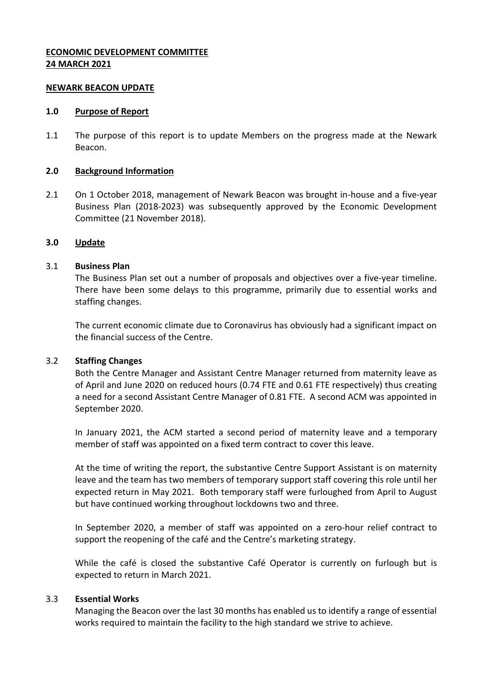# **ECONOMIC DEVELOPMENT COMMITTEE 24 MARCH 2021**

#### **NEWARK BEACON UPDATE**

#### **1.0 Purpose of Report**

1.1 The purpose of this report is to update Members on the progress made at the Newark Beacon.

#### **2.0 Background Information**

2.1 On 1 October 2018, management of Newark Beacon was brought in-house and a five-year Business Plan (2018-2023) was subsequently approved by the Economic Development Committee (21 November 2018).

#### **3.0 Update**

#### 3.1 **Business Plan**

The Business Plan set out a number of proposals and objectives over a five-year timeline. There have been some delays to this programme, primarily due to essential works and staffing changes.

The current economic climate due to Coronavirus has obviously had a significant impact on the financial success of the Centre.

#### 3.2 **Staffing Changes**

Both the Centre Manager and Assistant Centre Manager returned from maternity leave as of April and June 2020 on reduced hours (0.74 FTE and 0.61 FTE respectively) thus creating a need for a second Assistant Centre Manager of 0.81 FTE. A second ACM was appointed in September 2020.

In January 2021, the ACM started a second period of maternity leave and a temporary member of staff was appointed on a fixed term contract to cover this leave.

At the time of writing the report, the substantive Centre Support Assistant is on maternity leave and the team has two members of temporary support staff covering this role until her expected return in May 2021. Both temporary staff were furloughed from April to August but have continued working throughout lockdowns two and three.

In September 2020, a member of staff was appointed on a zero-hour relief contract to support the reopening of the café and the Centre's marketing strategy.

While the café is closed the substantive Café Operator is currently on furlough but is expected to return in March 2021.

#### 3.3 **Essential Works**

Managing the Beacon over the last 30 months has enabled us to identify a range of essential works required to maintain the facility to the high standard we strive to achieve.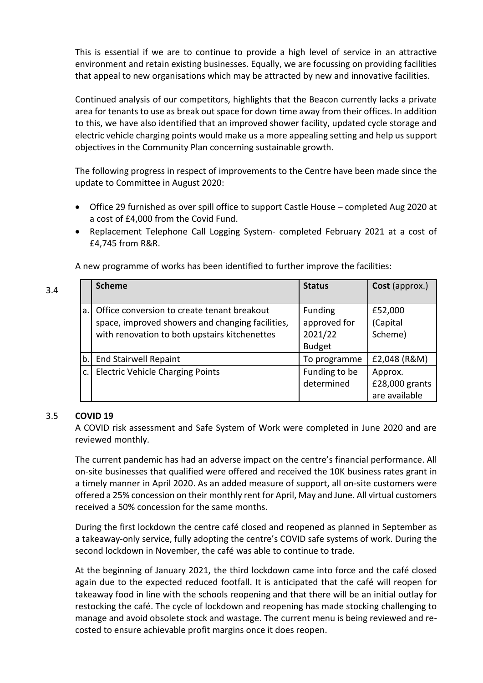This is essential if we are to continue to provide a high level of service in an attractive environment and retain existing businesses. Equally, we are focussing on providing facilities that appeal to new organisations which may be attracted by new and innovative facilities.

Continued analysis of our competitors, highlights that the Beacon currently lacks a private area for tenants to use as break out space for down time away from their offices. In addition to this, we have also identified that an improved shower facility, updated cycle storage and electric vehicle charging points would make us a more appealing setting and help us support objectives in the Community Plan concerning sustainable growth.

The following progress in respect of improvements to the Centre have been made since the update to Committee in August 2020:

- Office 29 furnished as over spill office to support Castle House completed Aug 2020 at a cost of £4,000 from the Covid Fund.
- Replacement Telephone Call Logging System- completed February 2021 at a cost of £4,745 from R&R.

A new programme of works has been identified to further improve the facilities:

|    | <b>Scheme</b>                                                                                                                                    | <b>Status</b>                                              | Cost (approx.)                             |
|----|--------------------------------------------------------------------------------------------------------------------------------------------------|------------------------------------------------------------|--------------------------------------------|
| a. | Office conversion to create tenant breakout<br>space, improved showers and changing facilities,<br>with renovation to both upstairs kitchenettes | <b>Funding</b><br>approved for<br>2021/22<br><b>Budget</b> | £52,000<br>(Capital<br>Scheme)             |
| b. | <b>End Stairwell Repaint</b>                                                                                                                     | To programme                                               | £2,048 (R&M)                               |
| c. | <b>Electric Vehicle Charging Points</b>                                                                                                          | Funding to be<br>determined                                | Approx.<br>£28,000 grants<br>are available |

#### 3.5 **COVID 19**

3.4

A COVID risk assessment and Safe System of Work were completed in June 2020 and are reviewed monthly.

The current pandemic has had an adverse impact on the centre's financial performance. All on-site businesses that qualified were offered and received the 10K business rates grant in a timely manner in April 2020. As an added measure of support, all on-site customers were offered a 25% concession on their monthly rent for April, May and June. All virtual customers received a 50% concession for the same months.

During the first lockdown the centre café closed and reopened as planned in September as a takeaway-only service, fully adopting the centre's COVID safe systems of work. During the second lockdown in November, the café was able to continue to trade.

At the beginning of January 2021, the third lockdown came into force and the café closed again due to the expected reduced footfall. It is anticipated that the café will reopen for takeaway food in line with the schools reopening and that there will be an initial outlay for restocking the café. The cycle of lockdown and reopening has made stocking challenging to manage and avoid obsolete stock and wastage. The current menu is being reviewed and recosted to ensure achievable profit margins once it does reopen.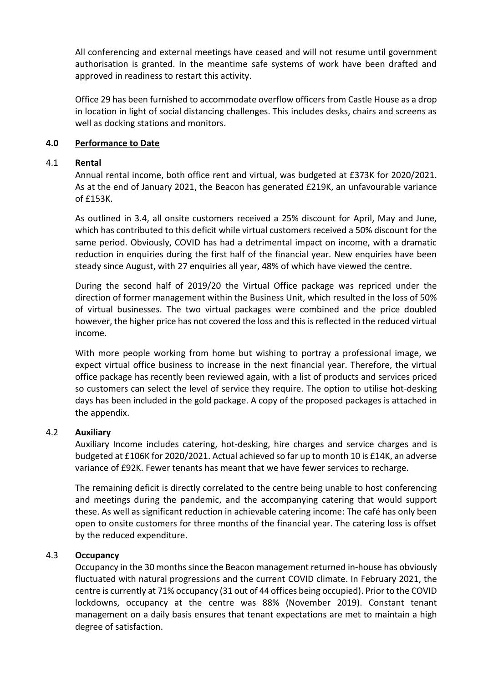All conferencing and external meetings have ceased and will not resume until government authorisation is granted. In the meantime safe systems of work have been drafted and approved in readiness to restart this activity.

Office 29 has been furnished to accommodate overflow officers from Castle House as a drop in location in light of social distancing challenges. This includes desks, chairs and screens as well as docking stations and monitors.

# **4.0 Performance to Date**

# 4.1 **Rental**

Annual rental income, both office rent and virtual, was budgeted at £373K for 2020/2021. As at the end of January 2021, the Beacon has generated £219K, an unfavourable variance of £153K.

As outlined in 3.4, all onsite customers received a 25% discount for April, May and June, which has contributed to this deficit while virtual customers received a 50% discount for the same period. Obviously, COVID has had a detrimental impact on income, with a dramatic reduction in enquiries during the first half of the financial year. New enquiries have been steady since August, with 27 enquiries all year, 48% of which have viewed the centre.

During the second half of 2019/20 the Virtual Office package was repriced under the direction of former management within the Business Unit, which resulted in the loss of 50% of virtual businesses. The two virtual packages were combined and the price doubled however, the higher price has not covered the loss and this is reflected in the reduced virtual income.

With more people working from home but wishing to portray a professional image, we expect virtual office business to increase in the next financial year. Therefore, the virtual office package has recently been reviewed again, with a list of products and services priced so customers can select the level of service they require. The option to utilise hot-desking days has been included in the gold package. A copy of the proposed packages is attached in the appendix.

# 4.2 **Auxiliary**

Auxiliary Income includes catering, hot-desking, hire charges and service charges and is budgeted at £106K for 2020/2021. Actual achieved so far up to month 10 is £14K, an adverse variance of £92K. Fewer tenants has meant that we have fewer services to recharge.

The remaining deficit is directly correlated to the centre being unable to host conferencing and meetings during the pandemic, and the accompanying catering that would support these. As well as significant reduction in achievable catering income: The café has only been open to onsite customers for three months of the financial year. The catering loss is offset by the reduced expenditure.

# 4.3 **Occupancy**

Occupancy in the 30 months since the Beacon management returned in-house has obviously fluctuated with natural progressions and the current COVID climate. In February 2021, the centre is currently at 71% occupancy (31 out of 44 offices being occupied). Prior to the COVID lockdowns, occupancy at the centre was 88% (November 2019). Constant tenant management on a daily basis ensures that tenant expectations are met to maintain a high degree of satisfaction.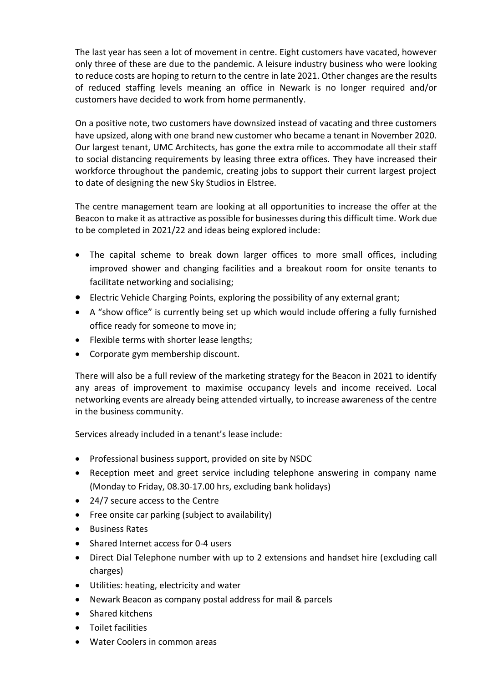The last year has seen a lot of movement in centre. Eight customers have vacated, however only three of these are due to the pandemic. A leisure industry business who were looking to reduce costs are hoping to return to the centre in late 2021. Other changes are the results of reduced staffing levels meaning an office in Newark is no longer required and/or customers have decided to work from home permanently.

On a positive note, two customers have downsized instead of vacating and three customers have upsized, along with one brand new customer who became a tenant in November 2020. Our largest tenant, UMC Architects, has gone the extra mile to accommodate all their staff to social distancing requirements by leasing three extra offices. They have increased their workforce throughout the pandemic, creating jobs to support their current largest project to date of designing the new Sky Studios in Elstree.

The centre management team are looking at all opportunities to increase the offer at the Beacon to make it as attractive as possible for businesses during this difficult time. Work due to be completed in 2021/22 and ideas being explored include:

- The capital scheme to break down larger offices to more small offices, including improved shower and changing facilities and a breakout room for onsite tenants to facilitate networking and socialising;
- Electric Vehicle Charging Points, exploring the possibility of any external grant;
- A "show office" is currently being set up which would include offering a fully furnished office ready for someone to move in;
- Flexible terms with shorter lease lengths;
- Corporate gym membership discount.

There will also be a full review of the marketing strategy for the Beacon in 2021 to identify any areas of improvement to maximise occupancy levels and income received. Local networking events are already being attended virtually, to increase awareness of the centre in the business community.

Services already included in a tenant's lease include:

- Professional business support, provided on site by NSDC
- Reception meet and greet service including telephone answering in company name (Monday to Friday, 08.30-17.00 hrs, excluding bank holidays)
- 24/7 secure access to the Centre
- Free onsite car parking (subject to availability)
- **•** Business Rates
- Shared Internet access for 0-4 users
- Direct Dial Telephone number with up to 2 extensions and handset hire (excluding call charges)
- Utilities: heating, electricity and water
- Newark Beacon as company postal address for mail & parcels
- Shared kitchens
- **•** Toilet facilities
- Water Coolers in common areas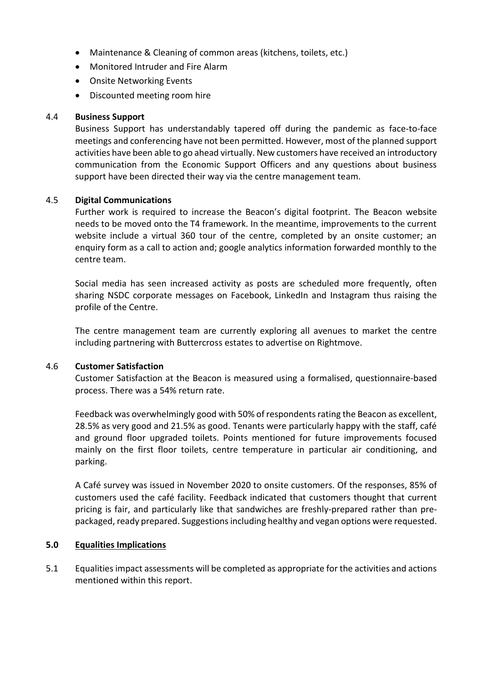- Maintenance & Cleaning of common areas (kitchens, toilets, etc.)
- Monitored Intruder and Fire Alarm
- Onsite Networking Events
- Discounted meeting room hire

#### 4.4 **Business Support**

Business Support has understandably tapered off during the pandemic as face-to-face meetings and conferencing have not been permitted. However, most of the planned support activities have been able to go ahead virtually. New customers have received an introductory communication from the Economic Support Officers and any questions about business support have been directed their way via the centre management team.

#### 4.5 **Digital Communications**

Further work is required to increase the Beacon's digital footprint. The Beacon website needs to be moved onto the T4 framework. In the meantime, improvements to the current website include a virtual 360 tour of the centre, completed by an onsite customer; an enquiry form as a call to action and; google analytics information forwarded monthly to the centre team.

Social media has seen increased activity as posts are scheduled more frequently, often sharing NSDC corporate messages on Facebook, LinkedIn and Instagram thus raising the profile of the Centre.

The centre management team are currently exploring all avenues to market the centre including partnering with Buttercross estates to advertise on Rightmove.

#### 4.6 **Customer Satisfaction**

Customer Satisfaction at the Beacon is measured using a formalised, questionnaire-based process. There was a 54% return rate.

Feedback was overwhelmingly good with 50% of respondents rating the Beacon as excellent, 28.5% as very good and 21.5% as good. Tenants were particularly happy with the staff, café and ground floor upgraded toilets. Points mentioned for future improvements focused mainly on the first floor toilets, centre temperature in particular air conditioning, and parking.

A Café survey was issued in November 2020 to onsite customers. Of the responses, 85% of customers used the café facility. Feedback indicated that customers thought that current pricing is fair, and particularly like that sandwiches are freshly-prepared rather than prepackaged, ready prepared. Suggestions including healthy and vegan options were requested.

# **5.0 Equalities Implications**

5.1 Equalities impact assessments will be completed as appropriate for the activities and actions mentioned within this report.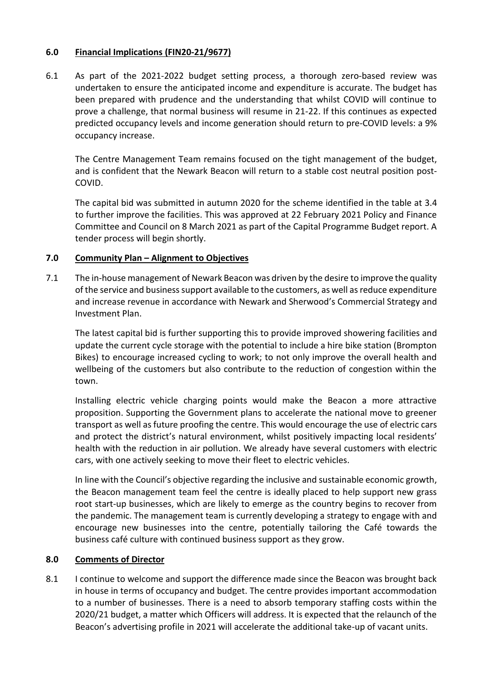# **6.0 Financial Implications (FIN20-21/9677)**

6.1 As part of the 2021-2022 budget setting process, a thorough zero-based review was undertaken to ensure the anticipated income and expenditure is accurate. The budget has been prepared with prudence and the understanding that whilst COVID will continue to prove a challenge, that normal business will resume in 21-22. If this continues as expected predicted occupancy levels and income generation should return to pre-COVID levels: a 9% occupancy increase.

The Centre Management Team remains focused on the tight management of the budget, and is confident that the Newark Beacon will return to a stable cost neutral position post-COVID.

The capital bid was submitted in autumn 2020 for the scheme identified in the table at 3.4 to further improve the facilities. This was approved at 22 February 2021 Policy and Finance Committee and Council on 8 March 2021 as part of the Capital Programme Budget report. A tender process will begin shortly.

# **7.0 Community Plan – Alignment to Objectives**

7.1 The in-house management of Newark Beacon was driven by the desire to improve the quality of the service and business support available to the customers, as well as reduce expenditure and increase revenue in accordance with Newark and Sherwood's Commercial Strategy and Investment Plan.

The latest capital bid is further supporting this to provide improved showering facilities and update the current cycle storage with the potential to include a hire bike station (Brompton Bikes) to encourage increased cycling to work; to not only improve the overall health and wellbeing of the customers but also contribute to the reduction of congestion within the town.

Installing electric vehicle charging points would make the Beacon a more attractive proposition. Supporting the Government plans to accelerate the national move to greener transport as well as future proofing the centre. This would encourage the use of electric cars and protect the district's natural environment, whilst positively impacting local residents' health with the reduction in air pollution. We already have several customers with electric cars, with one actively seeking to move their fleet to electric vehicles.

In line with the Council's objective regarding the inclusive and sustainable economic growth, the Beacon management team feel the centre is ideally placed to help support new grass root start-up businesses, which are likely to emerge as the country begins to recover from the pandemic. The management team is currently developing a strategy to engage with and encourage new businesses into the centre, potentially tailoring the Café towards the business café culture with continued business support as they grow.

# **8.0 Comments of Director**

8.1 I continue to welcome and support the difference made since the Beacon was brought back in house in terms of occupancy and budget. The centre provides important accommodation to a number of businesses. There is a need to absorb temporary staffing costs within the 2020/21 budget, a matter which Officers will address. It is expected that the relaunch of the Beacon's advertising profile in 2021 will accelerate the additional take-up of vacant units.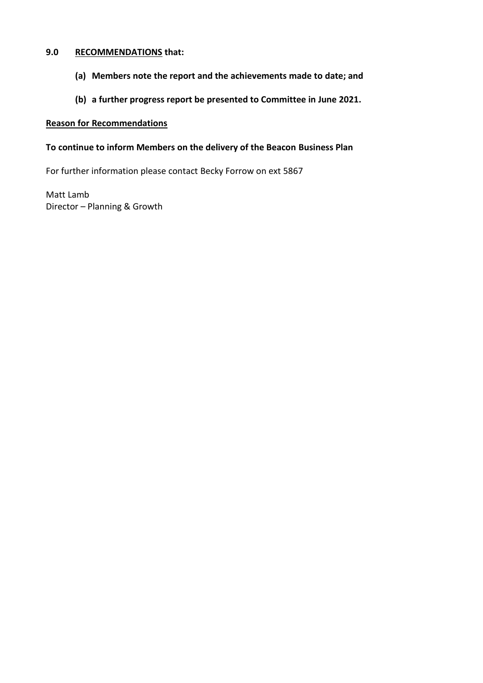# **9.0 RECOMMENDATIONS that:**

- **(a) Members note the report and the achievements made to date; and**
- **(b) a further progress report be presented to Committee in June 2021.**

#### **Reason for Recommendations**

# **To continue to inform Members on the delivery of the Beacon Business Plan**

For further information please contact Becky Forrow on ext 5867

Matt Lamb Director – Planning & Growth